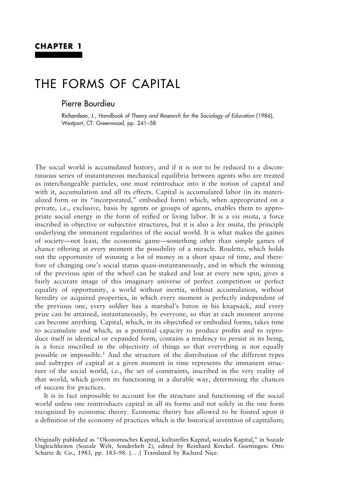## CHAPTER 1

# THE FORMS OF CAPITAL

# Pierre Bourdieu

Richardson, J., Handbook of Theory and Research for the Sociology of Education (1986), Westport, CT: Greenwood, pp. 241–58

The social world is accumulated history, and if it is not to be reduced to a discontinuous series of instantaneous mechanical equilibria between agents who are treated as interchangeable particles, one must reintroduce into it the notion of capital and with it, accumulation and all its effects. Capital is accumulated labor (in its materialized form or its "incorporated," embodied form) which, when appropriated on a private, i.e., exclusive, basis by agents or groups of agents, enables them to appropriate social energy in the form of reified or living labor. It is a *vis insita*, a force inscribed in objective or subjective structures, but it is also a lex insita, the principle underlying the immanent regularities of the social world. It is what makes the games of society—not least, the economic game—something other than simple games of chance offering at every moment the possibility of a miracle. Roulette, which holds out the opportunity of winning a lot of money in a short space of time, and therefore of changing one's social status quasi-instantaneously, and in which the winning of the previous spin of the wheel can be staked and lost at every new spin, gives a fairly accurate image of this imaginary universe of perfect competition or perfect equality of opportunity, a world without inertia, without accumulation, without heredity or acquired properties, in which every moment is perfectly independent of the previous one, every soldier has a marshal's baton in his knapsack, and every prize can be attained, instantaneously, by everyone, so that at each moment anyone can become anything. Capital, which, in its objectified or embodied forms, takes time to accumulate and which, as a potential capacity to produce profits and to reproduce itself in identical or expanded form, contains a tendency to persist in its being, is a force inscribed in the objectivity of things so that everything is not equally possible or impossible.<sup>1</sup> And the structure of the distribution of the different types and subtypes of capital at a given moment in time represents the immanent structure of the social world, i.e., the set of constraints, inscribed in the very reality of that world, which govern its functioning in a durable way, determining the chances of success for practices.

It is in fact impossible to account for the structure and functioning of the social world unless one reintroduces capital in all its forms and not solely in the one form recognized by economic theory. Economic theory has allowed to be foisted upon it a definition of the economy of practices which is the historical invention of capitalism;

Originally published as "Okonomisches Kapital, kulturelles Kapital, soziales Kapital," in Soziale Ungleichheiten (Soziale Welt, Sonderheft 2), edited by Reinhard Kreckel. Goettingen: Otto Schartz & Co., 1983, pp. 183–98. [. . .] Translated by Richard Nice.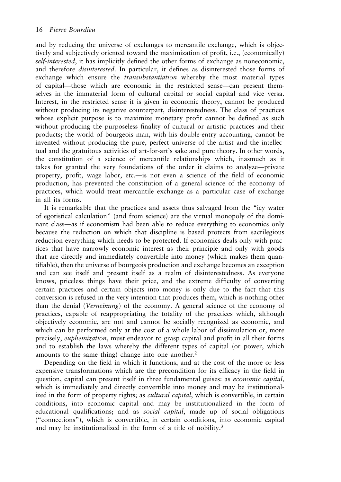and by reducing the universe of exchanges to mercantile exchange, which is objectively and subjectively oriented toward the maximization of profit, i.e., (economically) self-interested, it has implicitly defined the other forms of exchange as noneconomic, and therefore disinterested. In particular, it defines as disinterested those forms of exchange which ensure the *transubstantiation* whereby the most material types of capital—those which are economic in the restricted sense—can present themselves in the immaterial form of cultural capital or social capital and vice versa. Interest, in the restricted sense it is given in economic theory, cannot be produced without producing its negative counterpart, disinterestedness. The class of practices whose explicit purpose is to maximize monetary profit cannot be defined as such without producing the purposeless finality of cultural or artistic practices and their products; the world of bourgeois man, with his double-entry accounting, cannot be invented without producing the pure, perfect universe of the artist and the intellectual and the gratuitous activities of art-for-art's sake and pure theory. In other words, the constitution of a science of mercantile relationships which, inasmuch as it takes for granted the very foundations of the order it claims to analyze—private property, profit, wage labor, etc.—is not even a science of the field of economic production, has prevented the constitution of a general science of the economy of practices, which would treat mercantile exchange as a particular case of exchange in all its forms.

It is remarkable that the practices and assets thus salvaged from the "icy water of egotistical calculation" (and from science) are the virtual monopoly of the dominant class—as if economism had been able to reduce everything to economics only because the reduction on which that discipline is based protects from sacrilegious reduction everything which needs to be protected. If economics deals only with practices that have narrowly economic interest as their principle and only with goods that are directly and immediately convertible into money (which makes them quantifiable), then the universe of bourgeois production and exchange becomes an exception and can see itself and present itself as a realm of disinterestedness. As everyone knows, priceless things have their price, and the extreme difficulty of converting certain practices and certain objects into money is only due to the fact that this conversion is refused in the very intention that produces them, which is nothing other than the denial (Verneinung) of the economy. A general science of the economy of practices, capable of reappropriating the totality of the practices which, although objectively economic, are not and cannot be socially recognized as economic, and which can be performed only at the cost of a whole labor of dissimulation or, more precisely, euphemization, must endeavor to grasp capital and profit in all their forms and to establish the laws whereby the different types of capital (or power, which amounts to the same thing) change into one another.<sup>2</sup>

Depending on the field in which it functions, and at the cost of the more or less expensive transformations which are the precondition for its efficacy in the field in question, capital can present itself in three fundamental guises: as *economic capital*, which is immediately and directly convertible into money and may be institutionalized in the form of property rights; as *cultural capital*, which is convertible, in certain conditions, into economic capital and may be institutionalized in the form of educational qualifications; and as *social capital*, made up of social obligations ("connections"), which is convertible, in certain conditions, into economic capital and may be institutionalized in the form of a title of nobility.<sup>3</sup>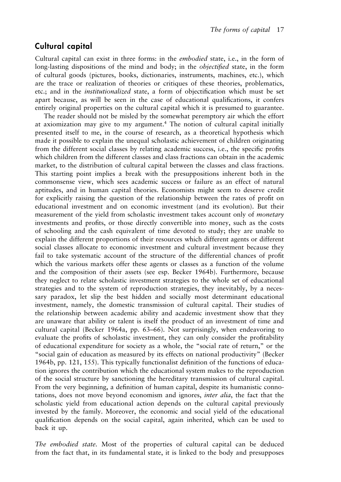# Cultural capital

Cultural capital can exist in three forms: in the embodied state, i.e., in the form of long-lasting dispositions of the mind and body; in the *objectified* state, in the form of cultural goods (pictures, books, dictionaries, instruments, machines, etc.), which are the trace or realization of theories or critiques of these theories, problematics, etc.; and in the institutionalized state, a form of objectification which must be set apart because, as will be seen in the case of educational qualifications, it confers entirely original properties on the cultural capital which it is presumed to guarantee.

The reader should not be misled by the somewhat peremptory air which the effort at axiomization may give to my argument.<sup>4</sup> The notion of cultural capital initially presented itself to me, in the course of research, as a theoretical hypothesis which made it possible to explain the unequal scholastic achievement of children originating from the different social classes by relating academic success, i.e., the specific profits which children from the different classes and class fractions can obtain in the academic market, to the distribution of cultural capital between the classes and class fractions. This starting point implies a break with the presuppositions inherent both in the commonsense view, which sees academic success or failure as an effect of natural aptitudes, and in human capital theories. Economists might seem to deserve credit for explicitly raising the question of the relationship between the rates of profit on educational investment and on economic investment (and its evolution). But their measurement of the yield from scholastic investment takes account only of *monetary* investments and profits, or those directly convertible into money, such as the costs of schooling and the cash equivalent of time devoted to study; they are unable to explain the different proportions of their resources which different agents or different social classes allocate to economic investment and cultural investment because they fail to take systematic account of the structure of the differential chances of profit which the various markets offer these agents or classes as a function of the volume and the composition of their assets (see esp. Becker 1964b). Furthermore, because they neglect to relate scholastic investment strategies to the whole set of educational strategies and to the system of reproduction strategies, they inevitably, by a necessary paradox, let slip the best hidden and socially most determinant educational investment, namely, the domestic transmission of cultural capital. Their studies of the relationship between academic ability and academic investment show that they are unaware that ability or talent is itself the product of an investment of time and cultural capital (Becker 1964a, pp.  $63-66$ ). Not surprisingly, when endeavoring to evaluate the profits of scholastic investment, they can only consider the profitability of educational expenditure for society as a whole, the "social rate of return," or the "social gain of education as measured by its effects on national productivity" (Becker 1964b, pp. 121, 155). This typically functionalist definition of the functions of education ignores the contribution which the educational system makes to the reproduction of the social structure by sanctioning the hereditary transmission of cultural capital. From the very beginning, a definition of human capital, despite its humanistic connotations, does not move beyond economism and ignores, *inter alia*, the fact that the scholastic yield from educational action depends on the cultural capital previously invested by the family. Moreover, the economic and social yield of the educational qualification depends on the social capital, again inherited, which can be used to back it up.

The embodied state. Most of the properties of cultural capital can be deduced from the fact that, in its fundamental state, it is linked to the body and presupposes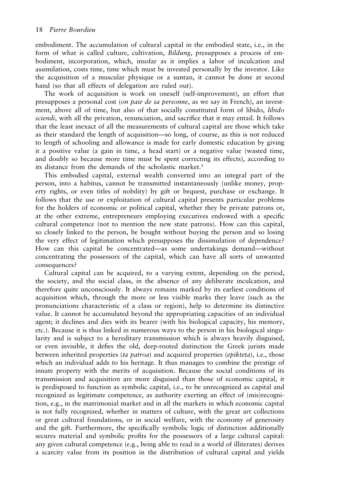embodiment. The accumulation of cultural capital in the embodied state, i.e., in the form of what is called culture, cultivation, *Bildung*, presupposes a process of embodiment, incorporation, which, insofar as it implies a labor of inculcation and assimilation, costs time, time which must be invested personally by the investor. Like the acquisition of a muscular physique or a suntan, it cannot be done at second hand (so that all effects of delegation are ruled out).

The work of acquisition is work on oneself (self-improvement), an effort that presupposes a personal cost (on paie de sa personne, as we say in French), an investment, above all of time, but also of that socially constituted form of libido, *libido* sciendi, with all the privation, renunciation, and sacrifice that it may entail. It follows that the least inexact of all the measurements of cultural capital are those which take as their standard the length of acquisition—so long, of course, as this is not reduced to length of schooling and allowance is made for early domestic education by giving it a positive value (a gain in time, a head start) or a negative value (wasted time, and doubly so because more time must be spent correcting its effects), according to its distance from the demands of the scholastic market.5

This embodied capital, external wealth converted into an integral part of the person, into a habitus, cannot be transmitted instantaneously (unlike money, property rights, or even titles of nobility) by gift or bequest, purchase or exchange. It follows that the use or exploitation of cultural capital presents particular problems for the holders of economic or political capital, whether they be private patrons or, at the other extreme, entrepreneurs employing executives endowed with a specific cultural competence (not to mention the new state patrons). How can this capital, so closely linked to the person, be bought without buying the person and so losing the very effect of legitimation which presupposes the dissimulation of dependence? How can this capital be concentrated—as some undertakings demand—without concentrating the possessors of the capital, which can have all sorts of unwanted consequences?

Cultural capital can be acquired, to a varying extent, depending on the period, the society, and the social class, in the absence of any deliberate inculcation, and therefore quite unconsciously. It always remains marked by its earliest conditions of acquisition which, through the more or less visible marks they leave (such as the pronunciations characteristic of a class or region), help to determine its distinctive value. It cannot be accumulated beyond the appropriating capacities of an individual agent; it declines and dies with its bearer (with his biological capacity, his memory, etc.). Because it is thus linked in numerous ways to the person in his biological singularity and is subject to a hereditary transmission which is always heavily disguised, or even invisible, it defies the old, deep-rooted distinction the Greek jurists made between inherited properties (ta patroa) and acquired properties (epikteta), i.e., those which an individual adds to his heritage. It thus manages to combine the prestige of innate property with the merits of acquisition. Because the social conditions of its transmission and acquisition are more disguised than those of economic capital, it is predisposed to function as symbolic capital, i.e., to be unrecognized as capital and recognized as legitimate competence, as authority exerting an effect of (mis)recognition, e.g., in the matrimonial market and in all the markets in which economic capital is not fully recognized, whether in matters of culture, with the great art collections or great cultural foundations, or in social welfare, with the economy of generosity and the gift. Furthermore, the specifically symbolic logic of distinction additionally secures material and symbolic profits for the possessors of a large cultural capital: any given cultural competence (e.g., being able to read in a world of illiterates) derives a scarcity value from its position in the distribution of cultural capital and yields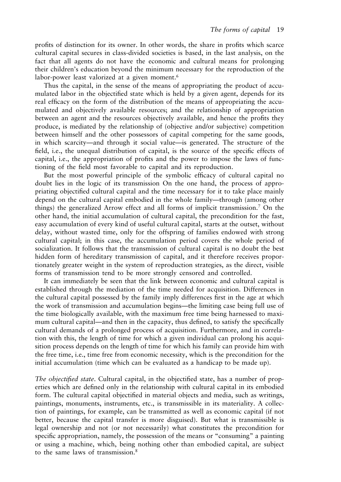profits of distinction for its owner. In other words, the share in profits which scarce cultural capital secures in class-divided societies is based, in the last analysis, on the fact that all agents do not have the economic and cultural means for prolonging their children's education beyond the minimum necessary for the reproduction of the labor-power least valorized at a given moment.<sup>6</sup>

Thus the capital, in the sense of the means of appropriating the product of accumulated labor in the objectified state which is held by a given agent, depends for its real efficacy on the form of the distribution of the means of appropriating the accumulated and objectively available resources; and the relationship of appropriation between an agent and the resources objectively available, and hence the profits they produce, is mediated by the relationship of (objective and/or subjective) competition between himself and the other possessors of capital competing for the same goods, in which scarcity—and through it social value—is generated. The structure of the field, i.e., the unequal distribution of capital, is the source of the specific effects of capital, i.e., the appropriation of profits and the power to impose the laws of functioning of the field most favorable to capital and its reproduction.

But the most powerful principle of the symbolic efficacy of cultural capital no doubt lies in the logic of its transmission On the one hand, the process of appropriating objectified cultural capital and the time necessary for it to take place mainly depend on the cultural capital embodied in the whole family—through (among other things) the generalized Arrow effect and all forms of implicit transmission.7 On the other hand, the initial accumulation of cultural capital, the precondition for the fast, easy accumulation of every kind of useful cultural capital, starts at the outset, without delay, without wasted time, only for the offspring of families endowed with strong cultural capital; in this case, the accumulation period covers the whole period of socialization. It follows that the transmission of cultural capital is no doubt the best hidden form of hereditary transmission of capital, and it therefore receives proportionately greater weight in the system of reproduction strategies, as the direct, visible forms of transmission tend to be more strongly censored and controlled.

It can immediately be seen that the link between economic and cultural capital is established through the mediation of the time needed for acquisition. Differences in the cultural capital possessed by the family imply differences first in the age at which the work of transmission and accumulation begins—the limiting case being full use of the time biologically available, with the maximum free time being harnessed to maximum cultural capital—and then in the capacity, thus defined, to satisfy the specifically cultural demands of a prolonged process of acquisition. Furthermore, and in correlation with this, the length of time for which a given individual can prolong his acquisition process depends on the length of time for which his family can provide him with the free time, i.e., time free from economic necessity, which is the precondition for the initial accumulation (time which can be evaluated as a handicap to be made up).

The objectified state. Cultural capital, in the objectified state, has a number of properties which are defined only in the relationship with cultural capital in its embodied form. The cultural capital objectified in material objects and media, such as writings, paintings, monuments, instruments, etc., is transmissible in its materiality. A collection of paintings, for example, can be transmitted as well as economic capital (if not better, because the capital transfer is more disguised). But what is transmissible is legal ownership and not (or not necessarily) what constitutes the precondition for specific appropriation, namely, the possession of the means or "consuming" a painting or using a machine, which, being nothing other than embodied capital, are subject to the same laws of transmission.<sup>8</sup>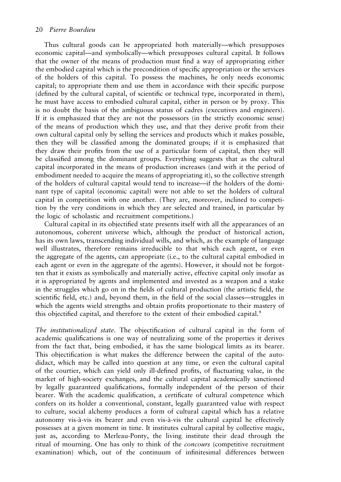#### 20 Pierre Bourdieu

Thus cultural goods can be appropriated both materially—which presupposes economic capital—and symbolically—which presupposes cultural capital. It follows that the owner of the means of production must find a way of appropriating either the embodied capital which is the precondition of specific appropriation or the services of the holders of this capital. To possess the machines, he only needs economic capital; to appropriate them and use them in accordance with their specific purpose (defined by the cultural capital, of scientific or technical type, incorporated in them), he must have access to embodied cultural capital, either in person or by proxy. This is no doubt the basis of the ambiguous status of cadres (executives and engineers). If it is emphasized that they are not the possessors (in the strictly economic sense) of the means of production which they use, and that they derive profit from their own cultural capital only by selling the services and products which it makes possible, then they will be classified among the dominated groups; if it is emphasized that they draw their profits from the use of a particular form of capital, then they will be classified among the dominant groups. Everything suggests that as the cultural capital incorporated in the means of production increases (and with it the period of embodiment needed to acquire the means of appropriating it), so the collective strength of the holders of cultural capital would tend to increase—if the holders of the dominant type of capital (economic capital) were not able to set the holders of cultural capital in competition with one another. (They are, moreover, inclined to competition by the very conditions in which they are selected and trained, in particular by the logic of scholastic and recruitment competitions.)

Cultural capital in its objectified state presents itself with all the appearances of an autonomous, coherent universe which, although the product of historical action, has its own laws, transcending individual wills, and which, as the example of language well illustrates, therefore remains irreducible to that which each agent, or even the aggregate of the agents, can appropriate (i.e., to the cultural capital embodied in each agent or even in the aggregate of the agents). However, it should not be forgotten that it exists as symbolically and materially active, effective capital only insofar as it is appropriated by agents and implemented and invested as a weapon and a stake in the struggles which go on in the fields of cultural production (the artistic field, the scientific field, etc.) and, beyond them, in the field of the social classes—struggles in which the agents wield strengths and obtain profits proportionate to their mastery of this objectified capital, and therefore to the extent of their embodied capital.<sup>9</sup>

The *institutionalized state*. The objectification of cultural capital in the form of academic qualifications is one way of neutralizing some of the properties it derives from the fact that, being embodied, it has the same biological limits as its bearer. This objectification is what makes the difference between the capital of the autodidact, which may be called into question at any time, or even the cultural capital of the courtier, which can yield only ill-defined profits, of fluctuating value, in the market of high-society exchanges, and the cultural capital academically sanctioned by legally guaranteed qualifications, formally independent of the person of their bearer. With the academic qualification, a certificate of cultural competence which confers on its holder a conventional, constant, legally guaranteed value with respect to culture, social alchemy produces a form of cultural capital which has a relative autonomy vis-à-vis its bearer and even vis-à-vis the cultural capital he effectively possesses at a given moment in time. It institutes cultural capital by collective magic, just as, according to Merleau-Ponty, the living institute their dead through the ritual of mourning. One has only to think of the *concours* (competitive recruitment examination) which, out of the continuum of infinitesimal differences between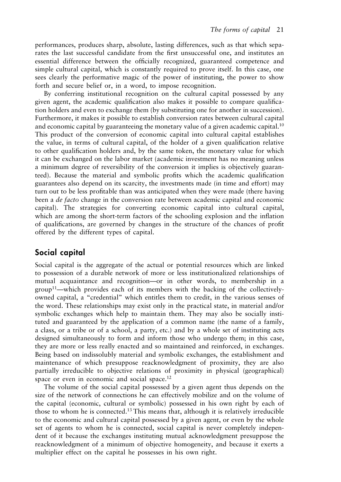performances, produces sharp, absolute, lasting differences, such as that which separates the last successful candidate from the first unsuccessful one, and institutes an essential difference between the officially recognized, guaranteed competence and simple cultural capital, which is constantly required to prove itself. In this case, one sees clearly the performative magic of the power of instituting, the power to show forth and secure belief or, in a word, to impose recognition.

By conferring institutional recognition on the cultural capital possessed by any given agent, the academic qualification also makes it possible to compare qualification holders and even to exchange them (by substituting one for another in succession). Furthermore, it makes it possible to establish conversion rates between cultural capital and economic capital by guaranteeing the monetary value of a given academic capital.<sup>10</sup> This product of the conversion of economic capital into cultural capital establishes the value, in terms of cultural capital, of the holder of a given qualification relative to other qualification holders and, by the same token, the monetary value for which it can be exchanged on the labor market (academic investment has no meaning unless a minimum degree of reversibility of the conversion it implies is objectively guaranteed). Because the material and symbolic profits which the academic qualification guarantees also depend on its scarcity, the investments made (in time and effort) may turn out to be less profitable than was anticipated when they were made (there having been a de facto change in the conversion rate between academic capital and economic capital). The strategies for converting economic capital into cultural capital, which are among the short-term factors of the schooling explosion and the inflation of qualifications, are governed by changes in the structure of the chances of profit offered by the different types of capital.

# Social capital

Social capital is the aggregate of the actual or potential resources which are linked to possession of a durable network of more or less institutionalized relationships of mutual acquaintance and recognition—or in other words, to membership in a  $group<sup>11</sup>—which provides each of its members with the backing of the collectively$ owned capital, a "credential" which entitles them to credit, in the various senses of the word. These relationships may exist only in the practical state, in material and/or symbolic exchanges which help to maintain them. They may also be socially instituted and guaranteed by the application of a common name (the name of a family, a class, or a tribe or of a school, a party, etc.) and by a whole set of instituting acts designed simultaneously to form and inform those who undergo them; in this case, they are more or less really enacted and so maintained and reinforced, in exchanges. Being based on indissolubly material and symbolic exchanges, the establishment and maintenance of which presuppose reacknowledgment of proximity, they are also partially irreducible to objective relations of proximity in physical (geographical) space or even in economic and social space. $12$ 

The volume of the social capital possessed by a given agent thus depends on the size of the network of connections he can effectively mobilize and on the volume of the capital (economic, cultural or symbolic) possessed in his own right by each of those to whom he is connected.13 This means that, although it is relatively irreducible to the economic and cultural capital possessed by a given agent, or even by the whole set of agents to whom he is connected, social capital is never completely independent of it because the exchanges instituting mutual acknowledgment presuppose the reacknowledgment of a minimum of objective homogeneity, and because it exerts a multiplier effect on the capital he possesses in his own right.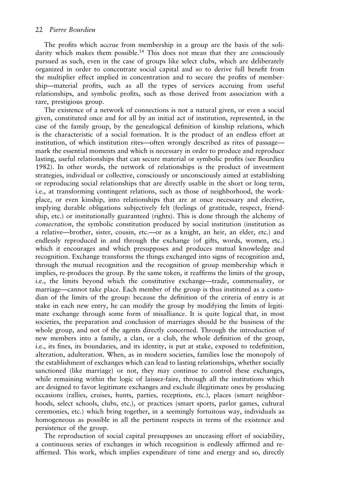The profits which accrue from membership in a group are the basis of the solidarity which makes them possible.<sup>14</sup> This does not mean that they are consciously pursued as such, even in the case of groups like select clubs, which are deliberately organized in order to concentrate social capital and so to derive full benefit from the multiplier effect implied in concentration and to secure the profits of membership—material profits, such as all the types of services accruing from useful relationships, and symbolic profits, such as those derived from association with a rare, prestigious group.

The existence of a network of connections is not a natural given, or even a social given, constituted once and for all by an initial act of institution, represented, in the case of the family group, by the genealogical definition of kinship relations, which is the characteristic of a social formation. It is the product of an endless effort at institution, of which institution rites—often wrongly described as rites of passage mark the essential moments and which is necessary in order to produce and reproduce lasting, useful relationships that can secure material or symbolic profits (see Bourdieu 1982). In other words, the network of relationships is the product of investment strategies, individual or collective, consciously or unconsciously aimed at establishing or reproducing social relationships that are directly usable in the short or long term, i.e., at transforming contingent relations, such as those of neighborhood, the workplace, or even kinship, into relationships that are at once necessary and elective, implying durable obligations subjectively felt (feelings of gratitude, respect, friendship, etc.) or institutionally guaranteed (rights). This is done through the alchemy of consecration, the symbolic constitution produced by social institution (institution as a relative—brother, sister, cousin, etc.—or as a knight, an heir, an elder, etc.) and endlessly reproduced in and through the exchange (of gifts, words, women, etc.) which it encourages and which presupposes and produces mutual knowledge and recognition. Exchange transforms the things exchanged into signs of recognition and, through the mutual recognition and the recognition of group membership which it implies, re-produces the group. By the same token, it reaffirms the limits of the group, i.e., the limits beyond which the constitutive exchange—trade, commensality, or marriage—cannot take place. Each member of the group is thus instituted as a custodian of the limits of the group: because the definition of the criteria of entry is at stake in each new entry, he can modify the group by modifying the limits of legitimate exchange through some form of misalliance. It is quite logical that, in most societies, the preparation and conclusion of marriages should be the business of the whole group, and not of the agents directly concerned. Through the introduction of new members into a family, a clan, or a club, the whole definition of the group, i.e., its fines, its boundaries, and its identity, is put at stake, exposed to redefinition, alteration, adulteration. When, as in modern societies, families lose the monopoly of the establishment of exchanges which can lead to lasting relationships, whether socially sanctioned (like marriage) or not, they may continue to control these exchanges, while remaining within the logic of laissez-faire, through all the institutions which are designed to favor legitimate exchanges and exclude illegitimate ones by producing occasions (rallies, cruises, hunts, parties, receptions, etc.), places (smart neighborhoods, select schools, clubs, etc.), or practices (smart sports, parlor games, cultural ceremonies, etc.) which bring together, in a seemingly fortuitous way, individuals as homogeneous as possible in all the pertinent respects in terms of the existence and persistence of the group.

The reproduction of social capital presupposes an unceasing effort of sociability, a continuous series of exchanges in which recognition is endlessly affirmed and reaffirmed. This work, which implies expenditure of time and energy and so, directly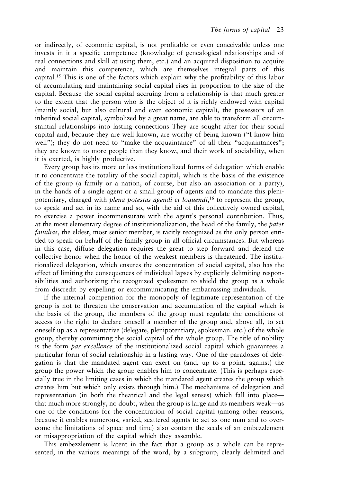or indirectly, of economic capital, is not profitable or even conceivable unless one invests in it a specific competence (knowledge of genealogical relationships and of real connections and skill at using them, etc.) and an acquired disposition to acquire and maintain this competence, which are themselves integral parts of this capital.15 This is one of the factors which explain why the profitability of this labor of accumulating and maintaining social capital rises in proportion to the size of the capital. Because the social capital accruing from a relationship is that much greater to the extent that the person who is the object of it is richly endowed with capital (mainly social, but also cultural and even economic capital), the possessors of an inherited social capital, symbolized by a great name, are able to transform all circumstantial relationships into lasting connections They are sought after for their social capital and, because they are well known, are worthy of being known ("I know him well"); they do not need to "make the acquaintance" of all their "acquaintances"; they are known to more people than they know, and their work of sociability, when it is exerted, is highly productive.

Every group has its more or less institutionalized forms of delegation which enable it to concentrate the totality of the social capital, which is the basis of the existence of the group (a family or a nation, of course, but also an association or a party), in the hands of a single agent or a small group of agents and to mandate this plenipotentiary, charged with *plena potestas agendi et loquendi*,<sup>16</sup> to represent the group, to speak and act in its name and so, with the aid of this collectively owned capital, to exercise a power incommensurate with the agent's personal contribution. Thus, at the most elementary degree of institutionalization, the head of the family, the pater familias, the eldest, most senior member, is tacitly recognized as the only person entitled to speak on behalf of the family group in all official circumstances. But whereas in this case, diffuse delegation requires the great to step forward and defend the collective honor when the honor of the weakest members is threatened. The institutionalized delegation, which ensures the concentration of social capital, also has the effect of limiting the consequences of individual lapses by explicitly delimiting responsibilities and authorizing the recognized spokesmen to shield the group as a whole from discredit by expelling or excommunicating the embarrassing individuals.

If the internal competition for the monopoly of legitimate representation of the group is not to threaten the conservation and accumulation of the capital which is the basis of the group, the members of the group must regulate the conditions of access to the right to declare oneself a member of the group and, above all, to set oneself up as a representative (delegate, plenipotentiary, spokesman. etc.) of the whole group, thereby committing the social capital of the whole group. The title of nobility is the form *par excellence* of the institutionalized social capital which guarantees a particular form of social relationship in a lasting way. One of the paradoxes of delegation is that the mandated agent can exert on (and, up to a point, against) the group the power which the group enables him to concentrate. (This is perhaps especially true in the limiting cases in which the mandated agent creates the group which creates him but which only exists through him.) The mechanisms of delegation and representation (in both the theatrical and the legal senses) which fall into place that much more strongly, no doubt, when the group is large and its members weak—as one of the conditions for the concentration of social capital (among other reasons, because it enables numerous, varied, scattered agents to act as one man and to overcome the limitations of space and time) also contain the seeds of an embezzlement or misappropriation of the capital which they assemble.

This embezzlement is latent in the fact that a group as a whole can be represented, in the various meanings of the word, by a subgroup, clearly delimited and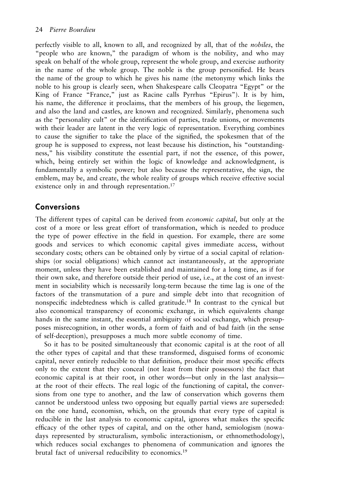perfectly visible to all, known to all, and recognized by all, that of the nobiles, the "people who are known," the paradigm of whom is the nobility, and who may speak on behalf of the whole group, represent the whole group, and exercise authority in the name of the whole group. The noble is the group personified. He bears the name of the group to which he gives his name (the metonymy which links the noble to his group is clearly seen, when Shakespeare calls Cleopatra "Egypt" or the King of France "France," just as Racine calls Pyrrhus "Epirus"). It is by him, his name, the difference it proclaims, that the members of his group, the liegemen, and also the land and castles, are known and recognized. Similarly, phenomena such as the "personality cult" or the identification of parties, trade unions, or movements with their leader are latent in the very logic of representation. Everything combines to cause the signifier to take the place of the signified, the spokesmen that of the group he is supposed to express, not least because his distinction, his "outstandingness," his visibility constitute the essential part, if not the essence, of this power, which, being entirely set within the logic of knowledge and acknowledgment, is fundamentally a symbolic power; but also because the representative, the sign, the emblem, may be, and create, the whole reality of groups which receive effective social existence only in and through representation.<sup>17</sup>

# Conversions

The different types of capital can be derived from *economic capital*, but only at the cost of a more or less great effort of transformation, which is needed to produce the type of power effective in the field in question. For example, there are some goods and services to which economic capital gives immediate access, without secondary costs; others can be obtained only by virtue of a social capital of relationships (or social obligations) which cannot act instantaneously, at the appropriate moment, unless they have been established and maintained for a long time, as if for their own sake, and therefore outside their period of use, i.e., at the cost of an investment in sociability which is necessarily long-term because the time lag is one of the factors of the transmutation of a pure and simple debt into that recognition of nonspecific indebtedness which is called gratitude.18 In contrast to the cynical but also economical transparency of economic exchange, in which equivalents change hands in the same instant, the essential ambiguity of social exchange, which presupposes misrecognition, in other words, a form of faith and of bad faith (in the sense of self-deception), presupposes a much more subtle economy of time.

So it has to be posited simultaneously that economic capital is at the root of all the other types of capital and that these transformed, disguised forms of economic capital, never entirely reducible to that definition, produce their most specific effects only to the extent that they conceal (not least from their possessors) the fact that economic capital is at their root, in other words—but only in the last analysis at the root of their effects. The real logic of the functioning of capital, the conversions from one type to another, and the law of conservation which governs them cannot be understood unless two opposing but equally partial views are superseded: on the one hand, economisn, which, on the grounds that every type of capital is reducible in the last analysis to economic capital, ignores what makes the specific efficacy of the other types of capital, and on the other hand, semiologism (nowadays represented by structuralism, symbolic interactionism, or ethnomethodology), which reduces social exchanges to phenomena of communication and ignores the brutal fact of universal reducibility to economics.<sup>19</sup>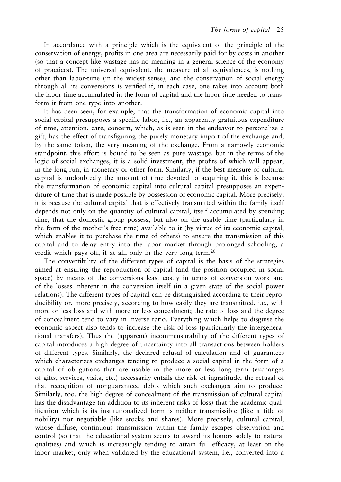In accordance with a principle which is the equivalent of the principle of the conservation of energy, profits in one area are necessarily paid for by costs in another (so that a concept like wastage has no meaning in a general science of the economy of practices). The universal equivalent, the measure of all equivalences, is nothing other than labor-time (in the widest sense); and the conservation of social energy through all its conversions is verified if, in each case, one takes into account both the labor-time accumulated in the form of capital and the labor-time needed to transform it from one type into another.

It has been seen, for example, that the transformation of economic capital into social capital presupposes a specific labor, i.e., an apparently gratuitous expenditure of time, attention, care, concern, which, as is seen in the endeavor to personalize a gift, has the effect of transfiguring the purely monetary import of the exchange and, by the same token, the very meaning of the exchange. From a narrowly economic standpoint, this effort is bound to be seen as pure wastage, but in the terms of the logic of social exchanges, it is a solid investment, the profits of which will appear, in the long run, in monetary or other form. Similarly, if the best measure of cultural capital is undoubtedly the amount of time devoted to acquiring it, this is because the transformation of economic capital into cultural capital presupposes an expenditure of time that is made possible by possession of economic capital. More precisely, it is because the cultural capital that is effectively transmitted within the family itself depends not only on the quantity of cultural capital, itself accumulated by spending time, that the domestic group possess, but also on the usable time (particularly in the form of the mother's free time) available to it (by virtue of its economic capital, which enables it to purchase the time of others) to ensure the transmission of this capital and to delay entry into the labor market through prolonged schooling, a credit which pays off, if at all, only in the very long term.<sup>20</sup>

The convertibility of the different types of capital is the basis of the strategies aimed at ensuring the reproduction of capital (and the position occupied in social space) by means of the conversions least costly in terms of conversion work and of the losses inherent in the conversion itself (in a given state of the social power relations). The different types of capital can be distinguished according to their reproducibility or, more precisely, according to how easily they are transmitted, i.e., with more or less loss and with more or less concealment; the rate of loss and the degree of concealment tend to vary in inverse ratio. Everything which helps to disguise the economic aspect also tends to increase the risk of loss (particularly the intergenerational transfers). Thus the (apparent) incommensurability of the different types of capital introduces a high degree of uncertainty into all transactions between holders of different types. Similarly, the declared refusal of calculation and of guarantees which characterizes exchanges tending to produce a social capital in the form of a capital of obligations that are usable in the more or less long term (exchanges of gifts, services, visits, etc.) necessarily entails the risk of ingratitude, the refusal of that recognition of nonguaranteed debts which such exchanges aim to produce. Similarly, too, the high degree of concealment of the transmission of cultural capital has the disadvantage (in addition to its inherent risks of loss) that the academic qualification which is its institutionalized form is neither transmissible (like a title of nobility) nor negotiable (like stocks and shares). More precisely, cultural capital, whose diffuse, continuous transmission within the family escapes observation and control (so that the educational system seems to award its honors solely to natural qualities) and which is increasingly tending to attain full efficacy, at least on the labor market, only when validated by the educational system, *i.e.*, converted into a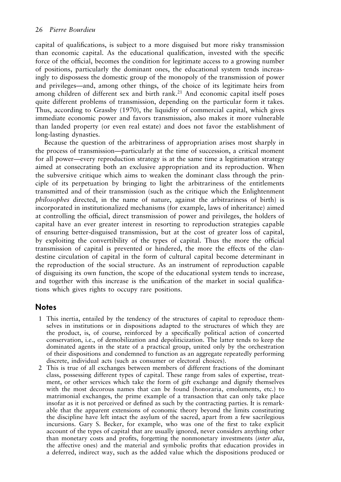capital of qualifications, is subject to a more disguised but more risky transmission than economic capital. As the educational qualification, invested with the specific force of the official, becomes the condition for legitimate access to a growing number of positions, particularly the dominant ones, the educational system tends increasingly to dispossess the domestic group of the monopoly of the transmission of power and privileges—and, among other things, of the choice of its legitimate heirs from among children of different sex and birth rank.<sup>21</sup> And economic capital itself poses quite different problems of transmission, depending on the particular form it takes. Thus, according to Grassby (1970), the liquidity of commercial capital, which gives immediate economic power and favors transmission, also makes it more vulnerable than landed property (or even real estate) and does not favor the establishment of long-lasting dynasties.

Because the question of the arbitrariness of appropriation arises most sharply in the process of transmission—particularly at the time of succession, a critical moment for all power—every reproduction strategy is at the same time a legitimation strategy aimed at consecrating both an exclusive appropriation and its reproduction. When the subversive critique which aims to weaken the dominant class through the principle of its perpetuation by bringing to light the arbitrariness of the entitlements transmitted and of their transmission (such as the critique which the Enlightenment philosophes directed, in the name of nature, against the arbitrariness of birth) is incorporated in institutionalized mechanisms (for example, laws of inheritance) aimed at controlling the official, direct transmission of power and privileges, the holders of capital have an ever greater interest in resorting to reproduction strategies capable of ensuring better-disguised transmission, but at the cost of greater loss of capital, by exploiting the convertibility of the types of capital. Thus the more the official transmission of capital is prevented or hindered, the more the effects of the clandestine circulation of capital in the form of cultural capital become determinant in the reproduction of the social structure. As an instrument of reproduction capable of disguising its own function, the scope of the educational system tends to increase, and together with this increase is the unification of the market in social qualifications which gives rights to occupy rare positions.

## **Notes**

- 1 This inertia, entailed by the tendency of the structures of capital to reproduce themselves in institutions or in dispositions adapted to the structures of which they are the product, is, of course, reinforced by a specifically political action of concerted conservation, i.e., of demobilization and depoliticization. The latter tends to keep the dominated agents in the state of a practical group, united only by the orchestration of their dispositions and condemned to function as an aggregate repeatedly performing discrete, individual acts (such as consumer or electoral choices).
- 2 This is true of all exchanges between members of different fractions of the dominant class, possessing different types of capital. These range from sales of expertise, treatment, or other services which take the form of gift exchange and dignify themselves with the most decorous names that can be found (honoraria, emoluments, etc.) to matrimonial exchanges, the prime example of a transaction that can only take place insofar as it is not perceived or defined as such by the contracting parties. It is remarkable that the apparent extensions of economic theory beyond the limits constituting the discipline have left intact the asylum of the sacred, apart from a few sacrilegious incursions. Gary S. Becker, for example, who was one of the first to take explicit account of the types of capital that are usually ignored, never considers anything other than monetary costs and profits, forgetting the nonmonetary investments *(inter alia,* the affective ones) and the material and symbolic profits that education provides in a deferred, indirect way, such as the added value which the dispositions produced or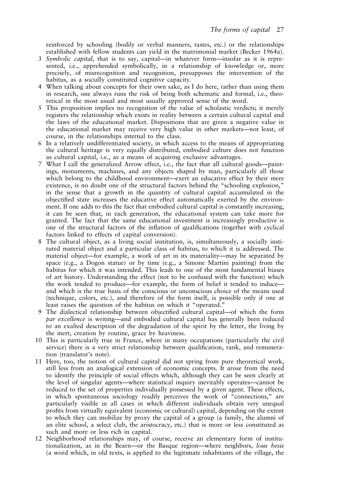reinforced by schooling (bodily or verbal manners, tastes, etc.) or the relationships established with fellow students can yield in the matrimonial market (Becker 1964a).

- 3 Symbolic capital, that is to say, capital—in whatever form—insofar as it is represented, i.e., apprehended symbolically, in a relationship of knowledge or, more precisely, of misrecognition and recognition, presupposes the intervention of the habitus, as a socially constituted cognitive capacity.
- 4 When talking about concepts for their own sake, as I do here, rather than using them in research, one always runs the risk of being both schematic and formal, i.e., theoretical in the most usual and most usually approved sense of the word.
- 5 This proposition implies no recognition of the value of scholastic verdicts; it merely registers the relationship which exists in reality between a certain cultural capital and the laws of the educational market. Dispositions that are given a negative value in the educational market may receive very high value in other markets—not least, of course, in the relationships internal to the class.
- 6 In a relatively undifferentiated society, in which access to the means of appropriating the cultural heritage is very equally distributed, embodied culture does not function as cultural capital, i.e., as a means of acquiring exclusive advantages.
- 7 What I call the generalized Arrow effect, i.e., the fact that all cultural goods—paintings, monuments, machines, and any objects shaped by man, particularly all those which belong to the childhood environment—exert an educative effect by their mere existence, is no doubt one of the structural factors behind the "schooling explosion," in the sense that a growth in the quantity of cultural capital accumulated in the objectified state increases the educative effect automatically exerted by the environment. If one adds to this the fact that embodied cultural capital is constantly increasing, it can be seen that, in each generation, the educational system can take more for granted. The fact that the same educational investment is increasingly productive is one of the structural factors of the inflation of qualifications (together with cyclical factors linked to effects of capital conversion).
- 8 The cultural object, as a living social institution, is, simultaneously, a socially instituted material object and a particular class of habitus, to which it is addressed. The material object—for example, a work of art in its materiality—may be separated by space (e.g., a Dogon statue) or by time (e.g., a Simone Martini painting) from the habitus for which it was intended. This leads to one of the most fundamental biases of art history. Understanding the effect (not to be confused with the function) which the work tended to produce—for example, the form of belief it tended to induce and which is the true basis of the conscious or unconscious choice of the means used (technique, colors, etc.), and therefore of the form itself, is possible only if one at least raises the question of the habitus on which it "operated."
- 9 The dialectical relationship between objectified cultural capital—of which the form par excellence is writing—and embodied cultural capital has generally been reduced to an exalted description of the degradation of the spirit by the letter, the living by the inert, creation by routine, grace by heaviness.
- 10 This is particularly true in France, where in many occupations (particularly the civil service) there is a very strict relationship between qualification, rank, and remuneration (translator's note).
- 11 Here, too, the notion of cultural capital did not spring from pure theoretical work, still less from an analogical extension of economic concepts. It arose from the need to identify the principle of social effects which, although they can be seen clearly at the level of singular agents—where statistical inquiry inevitably operates—cannot be reduced to the set of properties individually possessed by a given agent. These effects, in which spontaneous sociology readily perceives the work of "connections," are particularly visible in all cases in which different individuals obtain very unequal profits from virtually equivalent (economic or cultural) capital, depending on the extent to which they can mobilize by proxy the capital of a group (a family, the alumni of an elite school, a select club, the aristocracy, etc.) that is more or less constituted as such and more or less rich in capital.
- 12 Neighborhood relationships may, of course, receive an elementary form of institutionalization, as in the Bearn—or the Basque region—where neighbors, lous besis (a word which, in old texts, is applied to the legitimate inhabitants of the village, the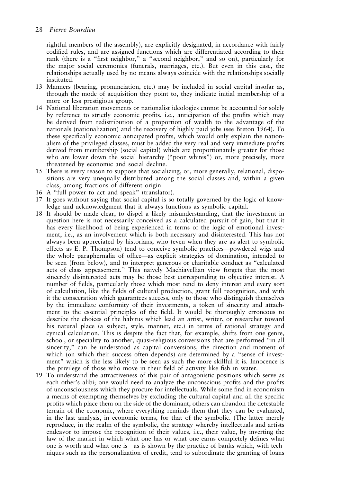#### 28 Pierre Bourdieu

rightful members of the assembly), are explicitly designated, in accordance with fairly codified rules, and are assigned functions which are differentiated according to their rank (there is a "first neighbor," a "second neighbor," and so on), particularly for the major social ceremonies (funerals, marriages, etc.). But even in this case, the relationships actually used by no means always coincide with the relationships socially instituted.

- 13 Manners (bearing, pronunciation, etc.) may be included in social capital insofar as, through the mode of acquisition they point to, they indicate initial membership of a more or less prestigious group.
- 14 National liberation movements or nationalist ideologies cannot be accounted for solely by reference to strictly economic profits, i.e., anticipation of the profits which may be derived from redistribution of a proportion of wealth to the advantage of the nationals (nationalization) and the recovery of highly paid jobs (see Breton 1964). To these specifically economic anticipated profits, which would only explain the nationalism of the privileged classes, must be added the very real and very immediate profits derived from membership (social capital) which are proportionately greater for those who are lower down the social hierarchy ("poor whites") or, more precisely, more threatened by economic and social decline.
- 15 There is every reason to suppose that socializing, or, more generally, relational, dispositions are very unequally distributed among the social classes and, within a given class, among fractions of different origin.
- 16 A "full power to act and speak" (translator).
- 17 It goes without saying that social capital is so totally governed by the logic of knowledge and acknowledgment that it always functions as symbolic capital.
- 18 It should be made clear, to dispel a likely misunderstanding, that the investment in question here is not necessarily conceived as a calculated pursuit of gain, but that it has every likelihood of being experienced in terms of the logic of emotional investment, i.e., as an involvement which is both necessary and disinterested. This has not always been appreciated by historians, who (even when they are as alert to symbolic effects as E. P. Thompson) tend to conceive symbolic practices—powdered wigs and the whole paraphernalia of office—as explicit strategies of domination, intended to be seen (from below), and to interpret generous or charitable conduct as "calculated acts of class appeasement." This naively Machiavellian view forgets that the most sincerely disinterested acts may be those best corresponding to objective interest. A number of fields, particularly those which most tend to deny interest and every sort of calculation, like the fields of cultural production, grant full recognition, and with it the consecration which guarantees success, only to those who distinguish themselves by the immediate conformity of their investments, a token of sincerity and attachment to the essential principles of the field. It would be thoroughly erroneous to describe the choices of the habitus which lead an artist, writer, or researcher toward his natural place (a subject, style, manner, etc.) in terms of rational strategy and cynical calculation. This is despite the fact that, for example, shifts from one genre, school, or speciality to another, quasi-religious conversions that are performed "in all sincerity," can be understood as capital conversions, the direction and moment of which (on which their success often depends) are determined by a "sense of investment" which is the less likely to be seen as such the more skillful it is. Innocence is the privilege of those who move in their field of activity like fish in water.
- 19 To understand the attractiveness of this pair of antagonistic positions which serve as each other's alibi; one would need to analyze the unconscious profits and the profits of unconsciousness which they procure for intellectuals. While some find in economism a means of exempting themselves by excluding the cultural capital and all the specific profits which place them on the side of the dominant, others can abandon the detestable terrain of the economic, where everything reminds them that they can be evaluated, in the last analysis, in economic terms, for that of the symbolic. (The latter merely reproduce, in the realm of the symbolic, the strategy whereby intellectuals and artists endeavor to impose the recognition of their values, i.e., their value, by inverting the law of the market in which what one has or what one earns completely defines what one is worth and what one is—as is shown by the practice of banks which, with techniques such as the personalization of credit, tend to subordinate the granting of loans